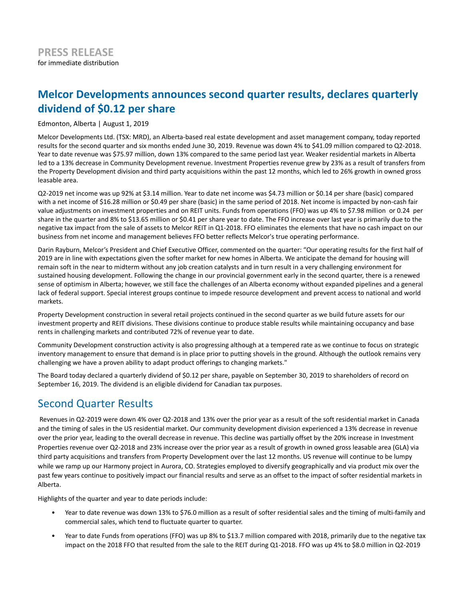# **Melcor Developments announces second quarter results, declares quarterly dividend of \$0.12 per share**

Edmonton, Alberta | August 1, 2019

Melcor Developments Ltd. (TSX: MRD), an Alberta-based real estate development and asset management company, today reported results for the second quarter and six months ended June 30, 2019. Revenue was down 4% to \$41.09 million compared to Q2-2018. Year to date revenue was \$75.97 million, down 13% compared to the same period last year. Weaker residential markets in Alberta led to a 13% decrease in Community Development revenue. Investment Properties revenue grew by 23% as a result of transfers from the Property Development division and third party acquisitions within the past 12 months, which led to 26% growth in owned gross leasable area.

Q2-2019 net income was up 92% at \$3.14 million. Year to date net income was \$4.73 million or \$0.14 per share (basic) compared with a net income of \$16.28 million or \$0.49 per share (basic) in the same period of 2018. Net income is impacted by non-cash fair value adjustments on investment properties and on REIT units. Funds from operations (FFO) was up 4% to \$7.98 million or 0.24 per share in the quarter and 8% to \$13.65 million or \$0.41 per share year to date. The FFO increase over last year is primarily due to the negative tax impact from the sale of assets to Melcor REIT in Q1-2018. FFO eliminates the elements that have no cash impact on our business from net income and management believes FFO better reflects Melcor's true operating performance.

Darin Rayburn, Melcor's President and Chief Executive Officer, commented on the quarter: "Our operating results for the first half of 2019 are in line with expectations given the softer market for new homes in Alberta. We anticipate the demand for housing will remain soft in the near to midterm without any job creation catalysts and in turn result in a very challenging environment for sustained housing development. Following the change in our provincial government early in the second quarter, there is a renewed sense of optimism in Alberta; however, we still face the challenges of an Alberta economy without expanded pipelines and a general lack of federal support. Special interest groups continue to impede resource development and prevent access to national and world markets.

Property Development construction in several retail projects continued in the second quarter as we build future assets for our investment property and REIT divisions. These divisions continue to produce stable results while maintaining occupancy and base rents in challenging markets and contributed 72% of revenue year to date.

Community Development construction activity is also progressing although at a tempered rate as we continue to focus on strategic inventory management to ensure that demand is in place prior to putting shovels in the ground. Although the outlook remains very challenging we have a proven ability to adapt product offerings to changing markets."

The Board today declared a quarterly dividend of \$0.12 per share, payable on September 30, 2019 to shareholders of record on September 16, 2019. The dividend is an eligible dividend for Canadian tax purposes.

# Second Quarter Results

 Revenues in Q2-2019 were down 4% over Q2-2018 and 13% over the prior year as a result of the soft residential market in Canada and the timing of sales in the US residential market. Our community development division experienced a 13% decrease in revenue over the prior year, leading to the overall decrease in revenue. This decline was partially offset by the 20% increase in Investment Properties revenue over Q2-2018 and 23% increase over the prior year as a result of growth in owned gross leasable area (GLA) via third party acquisitions and transfers from Property Development over the last 12 months. US revenue will continue to be lumpy while we ramp up our Harmony project in Aurora, CO. Strategies employed to diversify geographically and via product mix over the past few years continue to positively impact our financial results and serve as an offset to the impact of softer residential markets in Alberta.

Highlights of the quarter and year to date periods include:

- Year to date revenue was down 13% to \$76.0 million as a result of softer residential sales and the timing of multi-family and commercial sales, which tend to fluctuate quarter to quarter.
- Year to date Funds from operations (FFO) was up 8% to \$13.7 million compared with 2018, primarily due to the negative tax impact on the 2018 FFO that resulted from the sale to the REIT during Q1-2018. FFO was up 4% to \$8.0 million in Q2-2019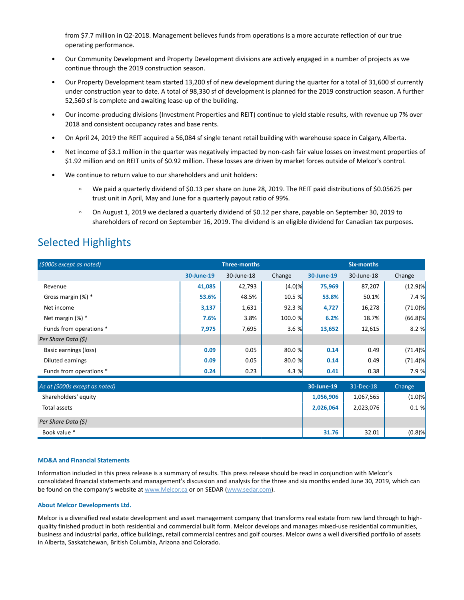from \$7.7 million in Q2-2018. Management believes funds from operations is a more accurate reflection of our true operating performance.

- Our Community Development and Property Development divisions are actively engaged in a number of projects as we continue through the 2019 construction season.
- Our Property Development team started 13,200 sf of new development during the quarter for a total of 31,600 sf currently under construction year to date. A total of 98,330 sf of development is planned for the 2019 construction season. A further 52,560 sf is complete and awaiting lease-up of the building.
- Our income-producing divisions (Investment Properties and REIT) continue to yield stable results, with revenue up 7% over 2018 and consistent occupancy rates and base rents.
- On April 24, 2019 the REIT acquired a 56,084 sf single tenant retail building with warehouse space in Calgary, Alberta.
- Net income of \$3.1 million in the quarter was negatively impacted by non-cash fair value losses on investment properties of \$1.92 million and on REIT units of \$0.92 million. These losses are driven by market forces outside of Melcor's control.
- We continue to return value to our shareholders and unit holders:
	- $\circ$ We paid a quarterly dividend of \$0.13 per share on June 28, 2019. The REIT paid distributions of \$0.05625 per trust unit in April, May and June for a quarterly payout ratio of 99%.
	- On August 1, 2019 we declared a quarterly dividend of \$0.12 per share, payable on September 30, 2019 to shareholders of record on September 16, 2019. The dividend is an eligible dividend for Canadian tax purposes.

### Selected Highlights

| (\$000s except as noted)     | <b>Three-months</b> |            |         | <b>Six-months</b> |                      |            |
|------------------------------|---------------------|------------|---------|-------------------|----------------------|------------|
|                              | 30-June-19          | 30-June-18 | Change  | 30-June-19        | 30-June-18           | Change     |
| Revenue                      | 41,085              | 42,793     | (4.0)%  | 75,969            | 87,207               | $(12.9)$ % |
| Gross margin (%) *           | 53.6%               | 48.5%      | 10.5 %  | 53.8%             | 50.1%                | 7.4%       |
| Net income                   | 3,137               | 1,631      | 92.3%   | 4,727             | 16,278               | $(71.0)$ % |
| Net margin (%) *             | 7.6%                | 3.8%       | 100.0 % | 6.2%              | 18.7%                | (66.8)%    |
| Funds from operations *      | 7,975               | 7,695      | 3.6%    | 13,652            | 12,615               | 8.2%       |
| Per Share Data (\$)          |                     |            |         |                   |                      |            |
| Basic earnings (loss)        | 0.09                | 0.05       | 80.0 %  | 0.14              | 0.49                 | $(71.4)$ % |
| Diluted earnings             | 0.09                | 0.05       | 80.0%   | 0.14              | 0.49                 | $(71.4)$ % |
| Funds from operations *      | 0.24                | 0.23       | 4.3%    | 0.41              | 0.38                 | 7.9%       |
| As at KNOOs excent as noted) |                     |            |         | $20.11ma - 19$    | $31 - \text{N} - 18$ | Chana      |

| As at (\$000s except as noted) | 30-June-19 | 31-Dec-18 | Change    |
|--------------------------------|------------|-----------|-----------|
| Shareholders' equity           | 1,056,906  | 1,067,565 | (1.0)%    |
| Total assets                   | 2,026,064  | 2,023,076 | 0.1%      |
| Per Share Data (\$)            |            |           |           |
| Book value *                   | 31.76      | 32.01     | $(0.8)$ % |

### **MD&A and Financial Statements**

Information included in this press release is a summary of results. This press release should be read in conjunction with Melcor's consolidated financial statements and management's discussion and analysis for the three and six months ended June 30, 2019, which can be found on the company's website at www.Melcor.ca or on SEDAR (www.sedar.com).

### **About Melcor Developments Ltd.**

Melcor is a diversified real estate development and asset management company that transforms real estate from raw land through to highquality finished product in both residential and commercial built form. Melcor develops and manages mixed-use residential communities, business and industrial parks, office buildings, retail commercial centres and golf courses. Melcor owns a well diversified portfolio of assets in Alberta, Saskatchewan, British Columbia, Arizona and Colorado.